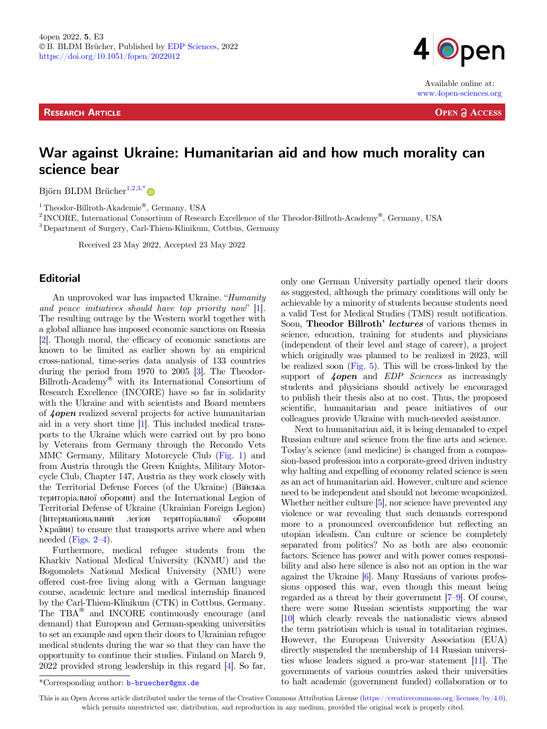**RESEARCH ARTICLE** 



Available online at: www.4open-sciences.org

**OPEN ACCESS** 

# War against Ukraine: Humanitarian aid and how much morality can science bear

Björn BLDM Brücher<sup>1,2,3,[\\*](https://orcid.org/0000-0002-3930-6416)</sup>

<sup>1</sup> Theodor-Billroth-Akademie®, Germany, USA<br>
<sup>2</sup> INCORE, International Consortium of Research Excellence of the Theodor-Billroth-Academy®, Germany, USA<br>
<sup>3</sup> Department of Surgery, Carl-Thiem-Klinikum, Cottbus, Germany

Received 23 May 2022, Accepted 23 May 2022

### **Editorial**

An unprovoked war has impacted Ukraine. "Humanity and peace initiatives should have top priority now" [\[1\]](#page-3-0). The resulting outrage by the Western world together with a global alliance has imposed economic sanctions on Russia [\[2\]](#page-3-0). Though moral, the efficacy of economic sanctions are known to be limited as earlier shown by an empirical cross-national, time-series data analysis of 133 countries during the period from 1970 to 2005 [[3\]](#page-4-0). The Theodor-Billroth-Academy<sup>®</sup> with its International Consortium of Research Excellence (INCORE) have so far in solidarity with the Ukraine and with scientists and Board members of 4open realized several projects for active humanitarian aid in a very short time [[1\]](#page-3-0). This included medical transports to the Ukraine which were carried out by pro bono by Veterans from Germany through the Recondo Vets MMC Germany, Military Motorcycle Club [\(Fig. 1\)](#page-1-0) and from Austria through the Green Knights, Military Motorcycle Club, Chapter 147, Austria as they work closely with the Territorial Defense Forces (of the Ukraine) (Війська територіальної оборони) and the International Legion of Territorial Defense of Ukraine (Ukrainian Foreign Legion) (Інтернаціональний легіон територіальної оборони  $Y_{\text{Kpaithl}}$  to ensure that transports arrive where and when needed [\(Figs. 2](#page-1-0)–[4](#page-2-0)).

Furthermore, medical refugee students from the Kharkiv National Medical University (KNMU) and the Bogomolets National Medical University (NMU) were offered cost-free living along with a German language course, academic lecture and medical internship financed by the Carl-Thiem-Klinikum (CTK) in Cottbus, Germany. The  $TBA^{\circledast}$  and INCORE continuously encourage (and demand) that European and German-speaking universities to set an example and open their doors to Ukrainian refugee medical students during the war so that they can have the opportunity to continue their studies. Finland on March 9, 2022 provided strong leadership in this regard [[4\]](#page-4-0). So far,

only one German University partially opened their doors as suggested, although the primary conditions will only be achievable by a minority of students because students need a valid Test for Medical Studies (TMS) result notification. Soon, Theodor Billroth' lectures of various themes in science, education, training for students and physicians (independent of their level and stage of career), a project which originally was planned to be realized in 2023, will be realized soon [\(Fig. 5](#page-3-0)). This will be cross-linked by the support of *Lopen* and *EDP Sciences* as increasingly students and physicians should actively be encouraged to publish their thesis also at no cost. Thus, the proposed scientific, humanitarian and peace initiatives of our colleagues provide Ukraine with much-needed assistance.

Next to humanitarian aid, it is being demanded to expel Russian culture and science from the fine arts and science. Today's science (and medicine) is changed from a compassion-based profession into a corporate-greed driven industry why halting and expelling of economy related science is seen as an act of humanitarian aid. However, culture and science need to be independent and should not become weaponized. Whether neither culture [\[5](#page-4-0)], nor science have prevented any violence or war revealing that such demands correspond more to a pronounced overconfidence but reflecting an utopian idealism. Can culture or science be completely separated from politics? No as both are also economic factors. Science has power and with power comes responsibility and also here silence is also not an option in the war against the Ukraine [[6\]](#page-4-0). Many Russians of various professions opposed this war, even though this meant being regarded as a threat by their government [\[7](#page-4-0)–[9\]](#page-4-0). Of course, there were some Russian scientists supporting the war [[10](#page-4-0)] which clearly reveals the nationalistic views abused the term patriotism which is usual in totalitarian regimes. However, the European University Association (EUA) directly suspended the membership of 14 Russian universities whose leaders signed a pro-war statement [\[11\]](#page-4-0). The governments of various countries asked their universities \*Corresponding author: b-bruecher@gmx.de to halt academic (government funded) collaboration or to

This is an Open Access article distributed under the terms of the Creative Commons Attribution License [\(https://creativecommons.org/licenses/by/4.0\)](https://creativecommons.org/licenses/by/4.0/), which permits unrestricted use, distribution, and reproduction in any medium, provided the original work is properly cited.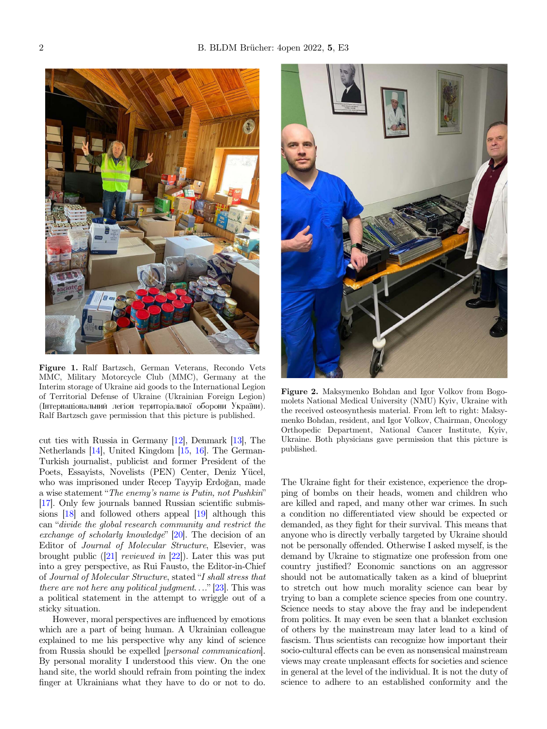<span id="page-1-0"></span>

Figure 1. Ralf Bartzsch, German Veterans, Recondo Vets MMC, Military Motorcycle Club (MMC), Germany at the Interim storage of Ukraine aid goods to the International Legion of Territorial Defense of Ukraine (Ukrainian Foreign Legion) (Інтернаціональний легіон територіальної оборони України). Ralf Bartzsch gave permission that this picture is published.

cut ties with Russia in Germany [\[12](#page-4-0)], Denmark [[13](#page-4-0)], The Netherlands [[14](#page-4-0)], United Kingdom [\[15,](#page-4-0) [16](#page-4-0)]. The German-Turkish journalist, publicist and former President of the Poets, Essayists, Novelists (PEN) Center, Deniz Yücel, who was imprisoned under Recep Tayyip Erdoğan, made a wise statement "The enemy's name is Putin, not Pushkin" [\[17\]](#page-4-0). Only few journals banned Russian scientific submissions [\[18](#page-4-0)] and followed others appeal [\[19\]](#page-4-0) although this can "divide the global research community and restrict the exchange of scholarly knowledge"  $[20]$ . The decision of an Editor of Journal of Molecular Structure, Elsevier, was brought public ([\[21](#page-4-0)] reviewed in [[22](#page-4-0)]). Later this was put into a grey perspective, as Rui Fausto, the Editor-in-Chief<br>of Journal of Molecular Structure, stated "I shall stress that of Journal of Molecular Structure, stated "I shall stress that there are not here any political judgment...." [\[23\]](#page-4-0). This was a political statement in the attempt to wriggle out of a sticky situation.

However, moral perspectives are influenced by emotions which are a part of being human. A Ukrainian colleague explained to me his perspective why any kind of science from Russia should be expelled [personal communication]. By personal morality I understood this view. On the one hand site, the world should refrain from pointing the index finger at Ukrainians what they have to do or not to do.



Figure 2. Maksymenko Bohdan and Igor Volkov from Bogomolets National Medical University (NMU) Kyiv, Ukraine with the received osteosynthesis material. From left to right: Maksymenko Bohdan, resident, and Igor Volkov, Chairman, Oncology Orthopedic Department, National Cancer Institute, Kyiv, Ukraine. Both physicians gave permission that this picture is published.

The Ukraine fight for their existence, experience the dropping of bombs on their heads, women and children who are killed and raped, and many other war crimes. In such a condition no differentiated view should be expected or demanded, as they fight for their survival. This means that anyone who is directly verbally targeted by Ukraine should not be personally offended. Otherwise I asked myself, is the demand by Ukraine to stigmatize one profession from one country justified? Economic sanctions on an aggressor should not be automatically taken as a kind of blueprint to stretch out how much morality science can bear by trying to ban a complete science species from one country. Science needs to stay above the fray and be independent from politics. It may even be seen that a blanket exclusion of others by the mainstream may later lead to a kind of fascism. Thus scientists can recognize how important their socio-cultural effects can be even as nonsensical mainstream views may create unpleasant effects for societies and science in general at the level of the individual. It is not the duty of science to adhere to an established conformity and the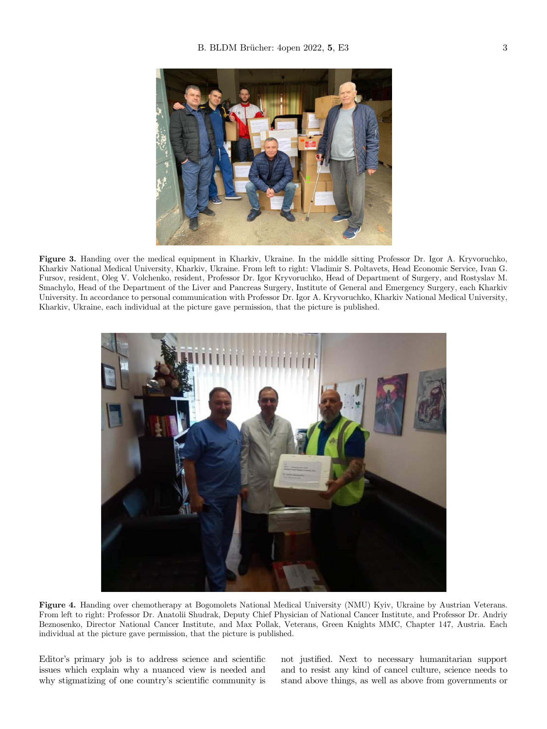<span id="page-2-0"></span>

Figure 3. Handing over the medical equipment in Kharkiv, Ukraine. In the middle sitting Professor Dr. Igor A. Kryvoruchko, Kharkiv National Medical University, Kharkiv, Ukraine. From left to right: Vladimir S. Poltavets, Head Economic Service, Ivan G. Fursov, resident, Oleg V. Volchenko, resident, Professor Dr. Igor Kryvoruchko, Head of Department of Surgery, and Rostyslav M. Smachylo, Head of the Department of the Liver and Pancreas Surgery, Institute of General and Emergency Surgery, each Kharkiv University. In accordance to personal communication with Professor Dr. Igor A. Kryvoruchko, Kharkiv National Medical University, Kharkiv, Ukraine, each individual at the picture gave permission, that the picture is published.



Figure 4. Handing over chemotherapy at Bogomolets National Medical University (NMU) Kyiv, Ukraine by Austrian Veterans. From left to right: Professor Dr. Anatolii Shudrak, Deputy Chief Physician of National Cancer Institute, and Professor Dr. Andriy Beznosenko, Director National Cancer Institute, and Max Pollak, Veterans, Green Knights MMC, Chapter 147, Austria. Each individual at the picture gave permission, that the picture is published.

Editor's primary job is to address science and scientifi<sup>c</sup> issues which explain why a nuanced view is needed and why stigmatizing of one country's scientific community is

not justified. Next to necessary humanitarian support and to resist any kind of cancel culture, science needs to stand above things, as well as above from governments or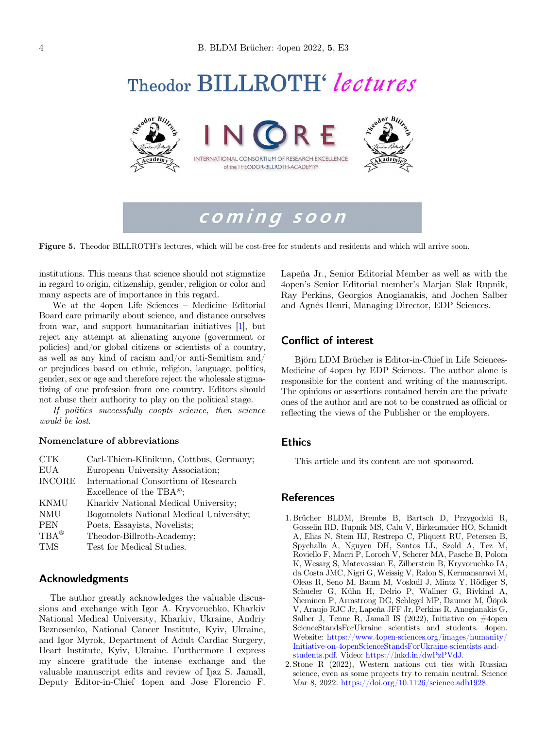# <span id="page-3-0"></span>Theodor BILLROTH' lectures



coming soon

Figure 5. Theodor BILLROTH's lectures, which will be cost-free for students and residents and which will arrive soon.

institutions. This means that science should not stigmatize in regard to origin, citizenship, gender, religion or color and many aspects are of importance in this regard.

We at the 4open Life Sciences – Medicine Editorial Board care primarily about science, and distance ourselves from war, and support humanitarian initiatives [1], but reject any attempt at alienating anyone (government or policies) and/or global citizens or scientists of a country, as well as any kind of racism and/or anti-Semitism and/ or prejudices based on ethnic, religion, language, politics, gender, sex or age and therefore reject the wholesale stigmatizing of one profession from one country. Editors should not abuse their authority to play on the political stage.

If politics successfully coopts science, then science would be lost.

#### Nomenclature of abbreviations

| <b>CTK</b>        | Carl-Thiem-Klinikum, Cottbus, Germany;  |
|-------------------|-----------------------------------------|
| EUA               | European University Association;        |
| <b>INCORE</b>     | International Consortium of Research    |
|                   | Excellence of the TBA®;                 |
| <b>KNMU</b>       | Kharkiv National Medical University;    |
| NMU               | Bogomolets National Medical University; |
| PEN               | Poets, Essayists, Novelists;            |
| $TBA^{\circledR}$ | Theodor-Billroth-Academy;               |
| TMS               | Test for Medical Studies.               |
|                   |                                         |

# Acknowledgments

The author greatly acknowledges the valuable discussions and exchange with Igor A. Kryvoruchko, Kharkiv National Medical University, Kharkiv, Ukraine, Andriy Beznosenko, National Cancer Institute, Kyiv, Ukraine, and Igor Myrok, Department of Adult Cardiac Surgery, Heart Institute, Kyiv, Ukraine. Furthermore I express my sincere gratitude the intense exchange and the valuable manuscript edits and review of Ijaz S. Jamall, Deputy Editor-in-Chief 4open and Jose Florencio F.

Lapeña Jr., Senior Editorial Member as well as with the 4open's Senior Editorial member's Marjan Slak Rupnik, Ray Perkins, Georgios Anogianakis, and Jochen Salber and Agnès Henri, Managing Director, EDP Sciences.

# Conflict of interest

Björn LDM Brücher is Editor-in-Chief in Life Sciences-Medicine of 4open by EDP Sciences. The author alone is responsible for the content and writing of the manuscript. The opinions or assertions contained herein are the private ones of the author and are not to be construed as official or reflecting the views of the Publisher or the employers.

#### Ethics

This article and its content are not sponsored.

#### References

- 1. Brücher BLDM, Brembs B, Bartsch D, Przygodzki R, Gosselin RD, Rupnik MS, Calu V, Birkenmaier HO, Schmidt A, Elias N, Stein HJ, Restrepo C, Pliquett RU, Petersen B, Spychalla A, Nguyen DH, Santos LL, Szold A, Tez M, Roviello F, Macri P, Loroch V, Scherer MA, Pasche B, Polom K, Wesarg S, Matevossian E, Zilberstein B, Kryvoruchko IA, da Costa JMC, Nigri G, Weissig V, Ralon S, Kermansaravi M, Oleas R, Seno M, Baum M, Voskuil J, Mintz Y, Rödiger S, Schueler G, Kühn H, Delrio P, Wallner G, Rivkind A, Nieminen P, Armstrong DG, Schlegel MP, Daumer M, Ööpik V, Araujo RJC Jr, Lapeña JFF Jr, Perkins R, Anogianakis G, Salber J, Tenne R, Jamall IS (2022), Initiative on  $\#4$ open ScienceStandsForUkraine scientists and students. 4open. Website: [https://www.4open-sciences.org/images/humanity/](https://www.4open-sciences.org/images/humanity/Initiative-on-4openScienceStandsForUkraine-scientists-and-students.pdf) [Initiative-on-4openScienceStandsForUkraine-scientists-and](https://www.4open-sciences.org/images/humanity/Initiative-on-4openScienceStandsForUkraine-scientists-and-students.pdf)[students.pdf.](https://www.4open-sciences.org/images/humanity/Initiative-on-4openScienceStandsForUkraine-scientists-and-students.pdf) Video: [https://lnkd.in/dwPzPVdJ.](https://lnkd.in/dwPzPVdJ)
- 2. Stone R (2022), Western nations cut ties with Russian science, even as some projects try to remain neutral. Science Mar 8, 2022. <https://doi.org/10.1126/science.adb1928>.